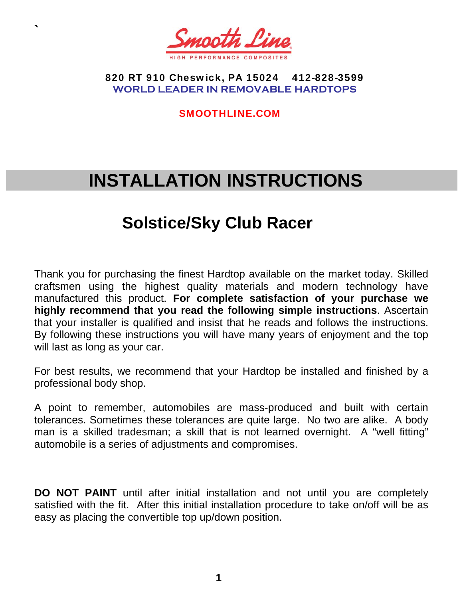

**`** 

 820 RT 910 Cheswick, PA 15024 412-828-3599 **WORLD LEADER IN REMOVABLE HARDTOPS** 

SMOOTHLINE.COM

# **INSTALLATION INSTRUCTIONS**

# **Solstice/Sky Club Racer**

Thank you for purchasing the finest Hardtop available on the market today. Skilled craftsmen using the highest quality materials and modern technology have manufactured this product. **For complete satisfaction of your purchase we highly recommend that you read the following simple instructions**. Ascertain that your installer is qualified and insist that he reads and follows the instructions. By following these instructions you will have many years of enjoyment and the top will last as long as your car.

For best results, we recommend that your Hardtop be installed and finished by a professional body shop.

A point to remember, automobiles are mass-produced and built with certain tolerances. Sometimes these tolerances are quite large. No two are alike. A body man is a skilled tradesman; a skill that is not learned overnight. A "well fitting" automobile is a series of adjustments and compromises.

**DO NOT PAINT** until after initial installation and not until you are completely satisfied with the fit. After this initial installation procedure to take on/off will be as easy as placing the convertible top up/down position.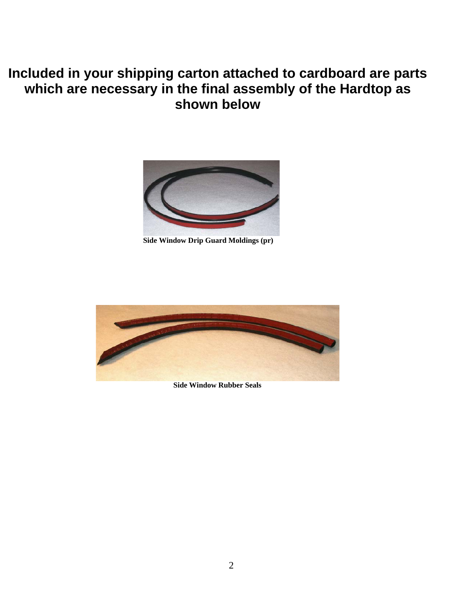# **Included in your shipping carton attached to cardboard are parts which are necessary in the final assembly of the Hardtop as shown below**



**Side Window Drip Guard Moldings (pr)** 



 **Side Window Rubber Seals**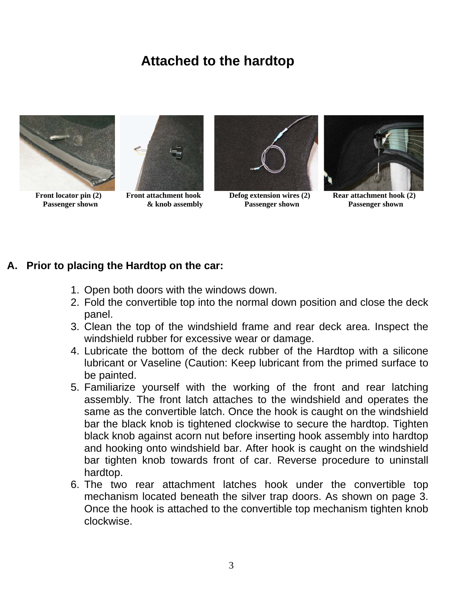# **Attached to the hardtop**





**Passenger shown**  $\&$  **knob assembly between Passenger shown Passenger shown Passenger shown** 



#### **A. Prior to placing the Hardtop on the car:**

- 1. Open both doors with the windows down.
- 2. Fold the convertible top into the normal down position and close the deck panel.
- 3. Clean the top of the windshield frame and rear deck area. Inspect the windshield rubber for excessive wear or damage.
- 4. Lubricate the bottom of the deck rubber of the Hardtop with a silicone lubricant or Vaseline (Caution: Keep lubricant from the primed surface to be painted.
- 5. Familiarize yourself with the working of the front and rear latching assembly. The front latch attaches to the windshield and operates the same as the convertible latch. Once the hook is caught on the windshield bar the black knob is tightened clockwise to secure the hardtop. Tighten black knob against acorn nut before inserting hook assembly into hardtop and hooking onto windshield bar. After hook is caught on the windshield bar tighten knob towards front of car. Reverse procedure to uninstall hardtop.
- 6. The two rear attachment latches hook under the convertible top mechanism located beneath the silver trap doors. As shown on page 3. Once the hook is attached to the convertible top mechanism tighten knob clockwise.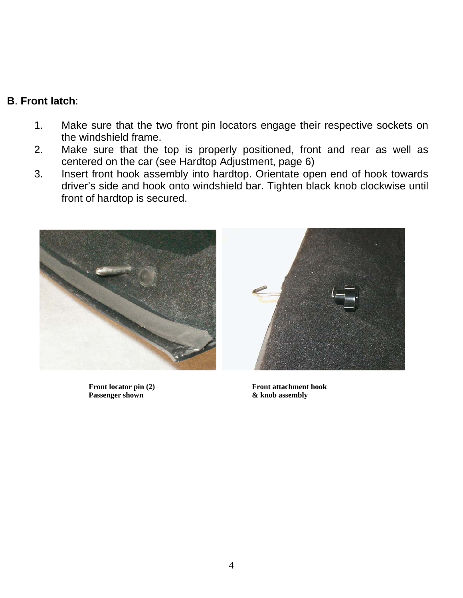#### **B**. **Front latch**:

- 1. Make sure that the two front pin locators engage their respective sockets on the windshield frame.
- 2. Make sure that the top is properly positioned, front and rear as well as centered on the car (see Hardtop Adjustment, page 6)
- 3. Insert front hook assembly into hardtop. Orientate open end of hook towards driver's side and hook onto windshield bar. Tighten black knob clockwise until front of hardtop is secured.



**Passenger shown & knob assembly** 



Front locator pin (2) Front attachment hook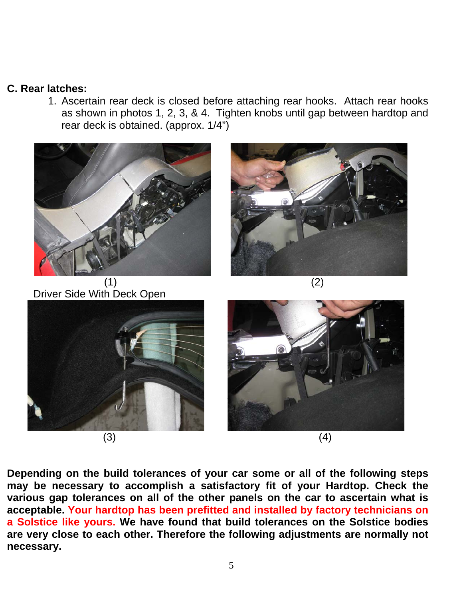#### **C. Rear latches:**

1. Ascertain rear deck is closed before attaching rear hooks. Attach rear hooks as shown in photos 1, 2, 3, & 4. Tighten knobs until gap between hardtop and rear deck is obtained. (approx. 1/4")



Driver Side With Deck Open











**Depending on the build tolerances of your car some or all of the following steps may be necessary to accomplish a satisfactory fit of your Hardtop. Check the various gap tolerances on all of the other panels on the car to ascertain what is acceptable. Your hardtop has been prefitted and installed by factory technicians on a Solstice like yours. We have found that build tolerances on the Solstice bodies are very close to each other. Therefore the following adjustments are normally not necessary.**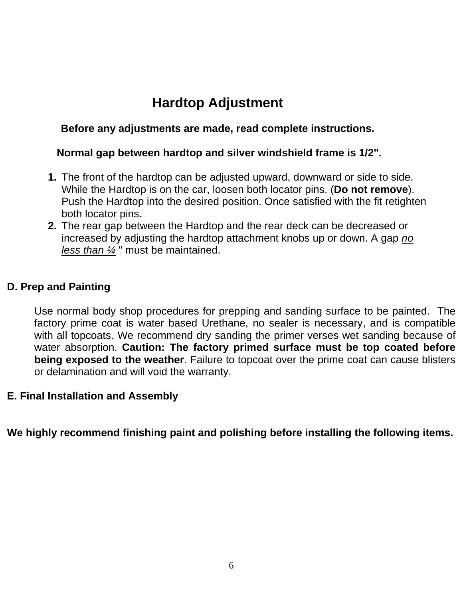# **Hardtop Adjustment**

#### **Before any adjustments are made, read complete instructions.**

#### **Normal gap between hardtop and silver windshield frame is 1/2".**

- **1.** The front of the hardtop can be adjusted upward, downward or side to side. While the Hardtop is on the car, loosen both locator pins. (**Do not remove**). Push the Hardtop into the desired position. Once satisfied with the fit retighten both locator pins**.**
- **2.** The rear gap between the Hardtop and the rear deck can be decreased or increased by adjusting the hardtop attachment knobs up or down. A gap *no less than ¼* " must be maintained.

#### **D. Prep and Painting**

Use normal body shop procedures for prepping and sanding surface to be painted. The factory prime coat is water based Urethane, no sealer is necessary, and is compatible with all topcoats. We recommend dry sanding the primer verses wet sanding because of water absorption. **Caution: The factory primed surface must be top coated before being exposed to the weather**. Failure to topcoat over the prime coat can cause blisters or delamination and will void the warranty.

#### **E. Final Installation and Assembly**

**We highly recommend finishing paint and polishing before installing the following items.**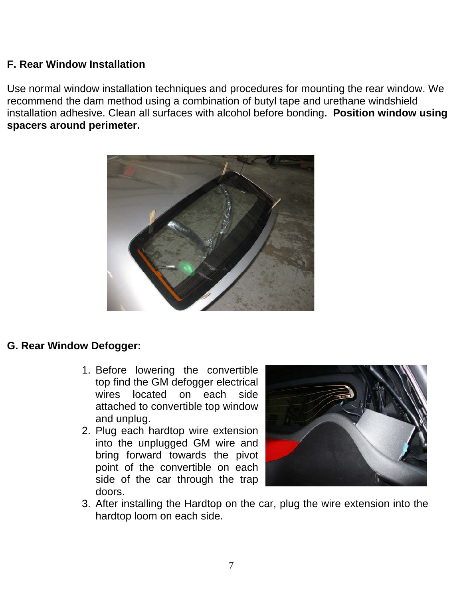#### **F. Rear Window Installation**

Use normal window installation techniques and procedures for mounting the rear window. We recommend the dam method using a combination of butyl tape and urethane windshield installation adhesive. Clean all surfaces with alcohol before bonding**. Position window using spacers around perimeter.** 



#### **G. Rear Window Defogger:**

- 1. Before lowering the convertible top find the GM defogger electrical wires located on each side attached to convertible top window and unplug.
- 2. Plug each hardtop wire extension into the unplugged GM wire and bring forward towards the pivot point of the convertible on each side of the car through the trap doors.



3. After installing the Hardtop on the car, plug the wire extension into the hardtop loom on each side.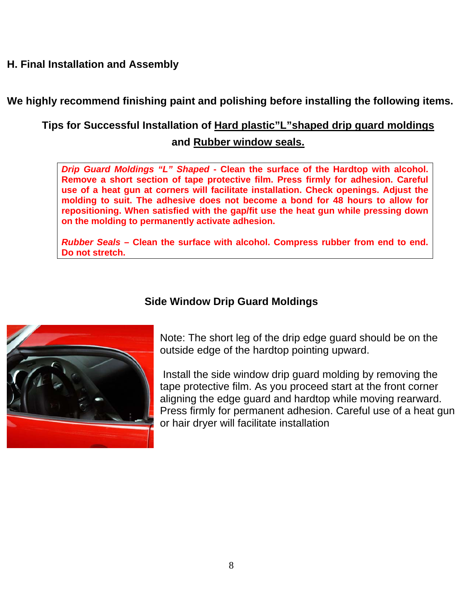#### **H. Final Installation and Assembly**

**We highly recommend finishing paint and polishing before installing the following items.** 

### **Tips for Successful Installation of Hard plastic"L"shaped drip guard moldings and Rubber window seals.**

*Drip Guard Moldings "L" Shaped* **- Clean the surface of the Hardtop with alcohol. Remove a short section of tape protective film. Press firmly for adhesion. Careful use of a heat gun at corners will facilitate installation. Check openings. Adjust the molding to suit. The adhesive does not become a bond for 48 hours to allow for repositioning. When satisfied with the gap/fit use the heat gun while pressing down on the molding to permanently activate adhesion.** 

*Rubber Seals* **– Clean the surface with alcohol. Compress rubber from end to end. Do not stretch.** 



#### **Side Window Drip Guard Moldings**

Note: The short leg of the drip edge guard should be on the outside edge of the hardtop pointing upward.

 Install the side window drip guard molding by removing the tape protective film. As you proceed start at the front corner aligning the edge guard and hardtop while moving rearward. Press firmly for permanent adhesion. Careful use of a heat gun or hair dryer will facilitate installation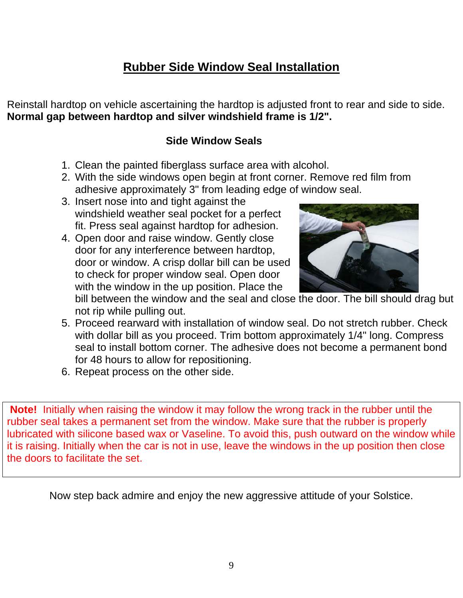## **Rubber Side Window Seal Installation**

Reinstall hardtop on vehicle ascertaining the hardtop is adjusted front to rear and side to side. **Normal gap between hardtop and silver windshield frame is 1/2".** 

#### **Side Window Seals**

- 1. Clean the painted fiberglass surface area with alcohol.
- 2. With the side windows open begin at front corner. Remove red film from adhesive approximately 3" from leading edge of window seal.
- 3. Insert nose into and tight against the windshield weather seal pocket for a perfect fit. Press seal against hardtop for adhesion.
- 4. Open door and raise window. Gently close door for any interference between hardtop, door or window. A crisp dollar bill can be used to check for proper window seal. Open door with the window in the up position. Place the



bill between the window and the seal and close the door. The bill should drag but not rip while pulling out.

- 5. Proceed rearward with installation of window seal. Do not stretch rubber. Check with dollar bill as you proceed. Trim bottom approximately 1/4" long. Compress seal to install bottom corner. The adhesive does not become a permanent bond for 48 hours to allow for repositioning.
- 6. Repeat process on the other side.

**Note!** Initially when raising the window it may follow the wrong track in the rubber until the rubber seal takes a permanent set from the window. Make sure that the rubber is properly lubricated with silicone based wax or Vaseline. To avoid this, push outward on the window while it is raising. Initially when the car is not in use, leave the windows in the up position then close the doors to facilitate the set.

Now step back admire and enjoy the new aggressive attitude of your Solstice.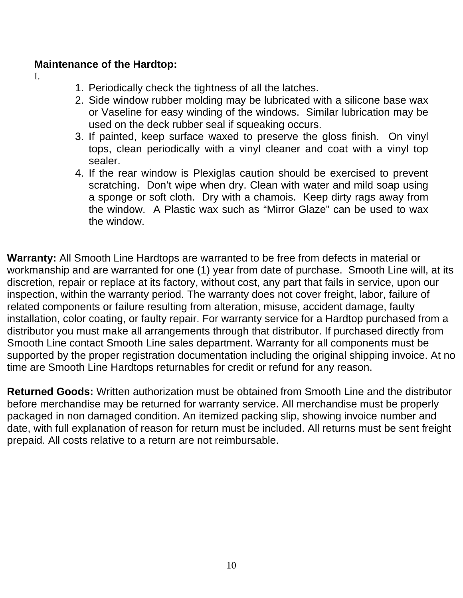#### **Maintenance of the Hardtop:**

I.

- 1. Periodically check the tightness of all the latches.
- 2. Side window rubber molding may be lubricated with a silicone base wax or Vaseline for easy winding of the windows. Similar lubrication may be used on the deck rubber seal if squeaking occurs.
- 3. If painted, keep surface waxed to preserve the gloss finish. On vinyl tops, clean periodically with a vinyl cleaner and coat with a vinyl top sealer.
- 4. If the rear window is Plexiglas caution should be exercised to prevent scratching. Don't wipe when dry. Clean with water and mild soap using a sponge or soft cloth. Dry with a chamois. Keep dirty rags away from the window. A Plastic wax such as "Mirror Glaze" can be used to wax the window.

**Warranty:** All Smooth Line Hardtops are warranted to be free from defects in material or workmanship and are warranted for one (1) year from date of purchase. Smooth Line will, at its discretion, repair or replace at its factory, without cost, any part that fails in service, upon our inspection, within the warranty period. The warranty does not cover freight, labor, failure of related components or failure resulting from alteration, misuse, accident damage, faulty installation, color coating, or faulty repair. For warranty service for a Hardtop purchased from a distributor you must make all arrangements through that distributor. If purchased directly from Smooth Line contact Smooth Line sales department. Warranty for all components must be supported by the proper registration documentation including the original shipping invoice. At no time are Smooth Line Hardtops returnables for credit or refund for any reason.

**Returned Goods:** Written authorization must be obtained from Smooth Line and the distributor before merchandise may be returned for warranty service. All merchandise must be properly packaged in non damaged condition. An itemized packing slip, showing invoice number and date, with full explanation of reason for return must be included. All returns must be sent freight prepaid. All costs relative to a return are not reimbursable.